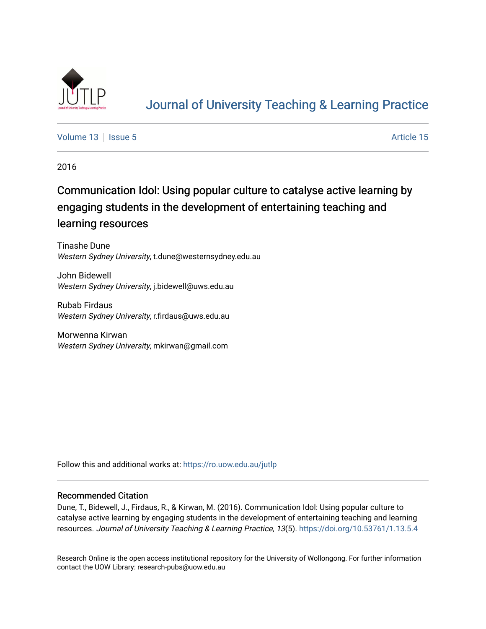

# [Journal of University Teaching & Learning Practice](https://ro.uow.edu.au/jutlp)

[Volume 13](https://ro.uow.edu.au/jutlp/vol13) | [Issue 5](https://ro.uow.edu.au/jutlp/vol13/iss5) Article 15

2016

# Communication Idol: Using popular culture to catalyse active learning by engaging students in the development of entertaining teaching and learning resources

Tinashe Dune Western Sydney University, t.dune@westernsydney.edu.au

John Bidewell Western Sydney University, j.bidewell@uws.edu.au

Rubab Firdaus Western Sydney University, r.firdaus@uws.edu.au

Morwenna Kirwan Western Sydney University, mkirwan@gmail.com

Follow this and additional works at: [https://ro.uow.edu.au/jutlp](https://ro.uow.edu.au/jutlp?utm_source=ro.uow.edu.au%2Fjutlp%2Fvol13%2Fiss5%2F15&utm_medium=PDF&utm_campaign=PDFCoverPages) 

## Recommended Citation

Dune, T., Bidewell, J., Firdaus, R., & Kirwan, M. (2016). Communication Idol: Using popular culture to catalyse active learning by engaging students in the development of entertaining teaching and learning resources. Journal of University Teaching & Learning Practice, 13(5).<https://doi.org/10.53761/1.13.5.4>

Research Online is the open access institutional repository for the University of Wollongong. For further information contact the UOW Library: research-pubs@uow.edu.au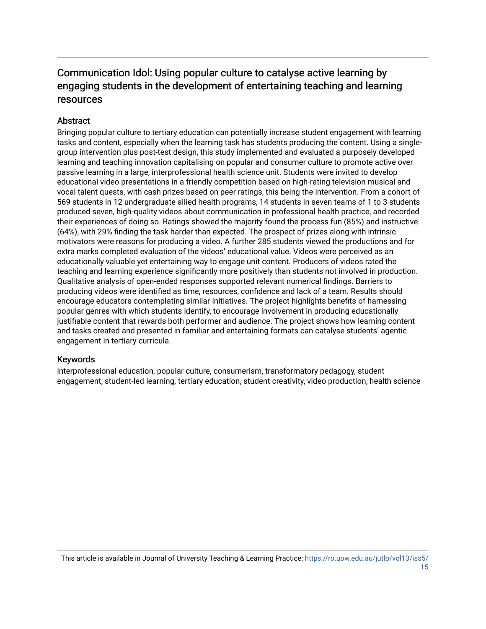## Communication Idol: Using popular culture to catalyse active learning by engaging students in the development of entertaining teaching and learning resources

## **Abstract**

Bringing popular culture to tertiary education can potentially increase student engagement with learning tasks and content, especially when the learning task has students producing the content. Using a singlegroup intervention plus post-test design, this study implemented and evaluated a purposely developed learning and teaching innovation capitalising on popular and consumer culture to promote active over passive learning in a large, interprofessional health science unit. Students were invited to develop educational video presentations in a friendly competition based on high-rating television musical and vocal talent quests, with cash prizes based on peer ratings, this being the intervention. From a cohort of 569 students in 12 undergraduate allied health programs, 14 students in seven teams of 1 to 3 students produced seven, high-quality videos about communication in professional health practice, and recorded their experiences of doing so. Ratings showed the majority found the process fun (85%) and instructive (64%), with 29% finding the task harder than expected. The prospect of prizes along with intrinsic motivators were reasons for producing a video. A further 285 students viewed the productions and for extra marks completed evaluation of the videos' educational value. Videos were perceived as an educationally valuable yet entertaining way to engage unit content. Producers of videos rated the teaching and learning experience significantly more positively than students not involved in production. Qualitative analysis of open-ended responses supported relevant numerical findings. Barriers to producing videos were identified as time, resources, confidence and lack of a team. Results should encourage educators contemplating similar initiatives. The project highlights benefits of harnessing popular genres with which students identify, to encourage involvement in producing educationally justifiable content that rewards both performer and audience. The project shows how learning content and tasks created and presented in familiar and entertaining formats can catalyse students' agentic engagement in tertiary curricula.

## Keywords

interprofessional education, popular culture, consumerism, transformatory pedagogy, student engagement, student-led learning, tertiary education, student creativity, video production, health science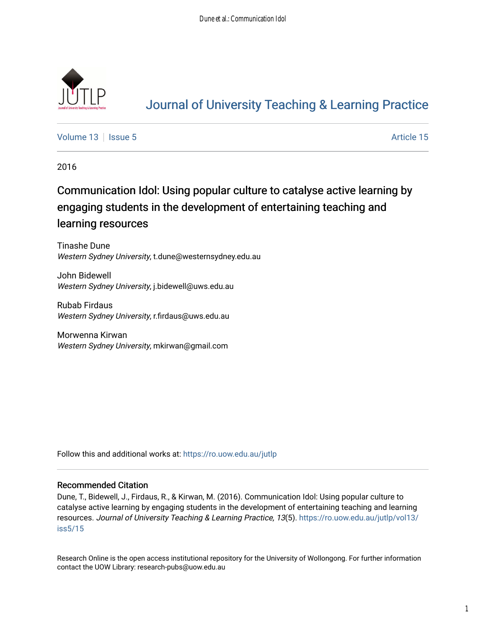

# [Journal of University Teaching & Learning Practice](https://ro.uow.edu.au/jutlp)

[Volume 13](https://ro.uow.edu.au/jutlp/vol13) | [Issue 5](https://ro.uow.edu.au/jutlp/vol13/iss5) Article 15

2016

# Communication Idol: Using popular culture to catalyse active learning by engaging students in the development of entertaining teaching and learning resources

Tinashe Dune Western Sydney University, t.dune@westernsydney.edu.au

John Bidewell Western Sydney University, j.bidewell@uws.edu.au

Rubab Firdaus Western Sydney University, r.firdaus@uws.edu.au

Morwenna Kirwan Western Sydney University, mkirwan@gmail.com

Follow this and additional works at: [https://ro.uow.edu.au/jutlp](https://ro.uow.edu.au/jutlp?utm_source=ro.uow.edu.au%2Fjutlp%2Fvol13%2Fiss5%2F15&utm_medium=PDF&utm_campaign=PDFCoverPages) 

## Recommended Citation

Dune, T., Bidewell, J., Firdaus, R., & Kirwan, M. (2016). Communication Idol: Using popular culture to catalyse active learning by engaging students in the development of entertaining teaching and learning resources. Journal of University Teaching & Learning Practice, 13(5). [https://ro.uow.edu.au/jutlp/vol13/](https://ro.uow.edu.au/jutlp/vol13/iss5/15?utm_source=ro.uow.edu.au%2Fjutlp%2Fvol13%2Fiss5%2F15&utm_medium=PDF&utm_campaign=PDFCoverPages) [iss5/15](https://ro.uow.edu.au/jutlp/vol13/iss5/15?utm_source=ro.uow.edu.au%2Fjutlp%2Fvol13%2Fiss5%2F15&utm_medium=PDF&utm_campaign=PDFCoverPages) 

Research Online is the open access institutional repository for the University of Wollongong. For further information contact the UOW Library: research-pubs@uow.edu.au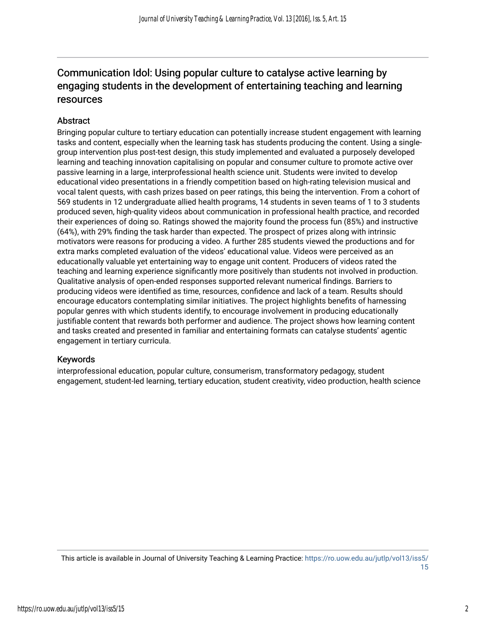## Communication Idol: Using popular culture to catalyse active learning by engaging students in the development of entertaining teaching and learning resources

## **Abstract**

Bringing popular culture to tertiary education can potentially increase student engagement with learning tasks and content, especially when the learning task has students producing the content. Using a singlegroup intervention plus post-test design, this study implemented and evaluated a purposely developed learning and teaching innovation capitalising on popular and consumer culture to promote active over passive learning in a large, interprofessional health science unit. Students were invited to develop educational video presentations in a friendly competition based on high-rating television musical and vocal talent quests, with cash prizes based on peer ratings, this being the intervention. From a cohort of 569 students in 12 undergraduate allied health programs, 14 students in seven teams of 1 to 3 students produced seven, high-quality videos about communication in professional health practice, and recorded their experiences of doing so. Ratings showed the majority found the process fun (85%) and instructive (64%), with 29% finding the task harder than expected. The prospect of prizes along with intrinsic motivators were reasons for producing a video. A further 285 students viewed the productions and for extra marks completed evaluation of the videos' educational value. Videos were perceived as an educationally valuable yet entertaining way to engage unit content. Producers of videos rated the teaching and learning experience significantly more positively than students not involved in production. Qualitative analysis of open-ended responses supported relevant numerical findings. Barriers to producing videos were identified as time, resources, confidence and lack of a team. Results should encourage educators contemplating similar initiatives. The project highlights benefits of harnessing popular genres with which students identify, to encourage involvement in producing educationally justifiable content that rewards both performer and audience. The project shows how learning content and tasks created and presented in familiar and entertaining formats can catalyse students' agentic engagement in tertiary curricula.

## Keywords

interprofessional education, popular culture, consumerism, transformatory pedagogy, student engagement, student-led learning, tertiary education, student creativity, video production, health science

This article is available in Journal of University Teaching & Learning Practice: [https://ro.uow.edu.au/jutlp/vol13/iss5/](https://ro.uow.edu.au/jutlp/vol13/iss5/15) [15](https://ro.uow.edu.au/jutlp/vol13/iss5/15)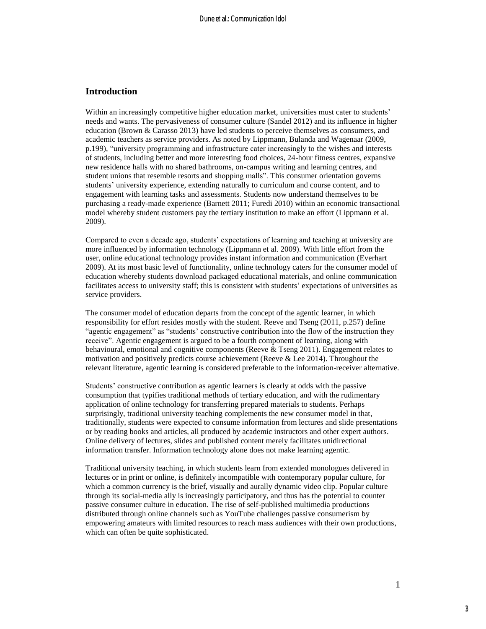## **Introduction**

Within an increasingly competitive higher education market, universities must cater to students' needs and wants. The pervasiveness of consumer culture (Sandel 2012) and its influence in higher education (Brown & Carasso 2013) have led students to perceive themselves as consumers, and academic teachers as service providers. As noted by Lippmann, Bulanda and Wagenaar (2009, p.199), "university programming and infrastructure cater increasingly to the wishes and interests of students, including better and more interesting food choices, 24-hour fitness centres, expansive new residence halls with no shared bathrooms, on-campus writing and learning centres, and student unions that resemble resorts and shopping malls". This consumer orientation governs students' university experience, extending naturally to curriculum and course content, and to engagement with learning tasks and assessments. Students now understand themselves to be purchasing a ready-made experience (Barnett 2011; Furedi 2010) within an economic transactional model whereby student customers pay the tertiary institution to make an effort (Lippmann et al. 2009).

Compared to even a decade ago, students' expectations of learning and teaching at university are more influenced by information technology (Lippmann et al. 2009). With little effort from the user, online educational technology provides instant information and communication (Everhart 2009). At its most basic level of functionality, online technology caters for the consumer model of education whereby students download packaged educational materials, and online communication facilitates access to university staff; this is consistent with students' expectations of universities as service providers.

The consumer model of education departs from the concept of the agentic learner, in which responsibility for effort resides mostly with the student. Reeve and Tseng (2011, p.257) define "agentic engagement" as "students' constructive contribution into the flow of the instruction they receive". Agentic engagement is argued to be a fourth component of learning, along with behavioural, emotional and cognitive components (Reeve & Tseng 2011). Engagement relates to motivation and positively predicts course achievement (Reeve & Lee 2014). Throughout the relevant literature, agentic learning is considered preferable to the information-receiver alternative.

Students' constructive contribution as agentic learners is clearly at odds with the passive consumption that typifies traditional methods of tertiary education, and with the rudimentary application of online technology for transferring prepared materials to students. Perhaps surprisingly, traditional university teaching complements the new consumer model in that, traditionally, students were expected to consume information from lectures and slide presentations or by reading books and articles, all produced by academic instructors and other expert authors. Online delivery of lectures, slides and published content merely facilitates unidirectional information transfer. Information technology alone does not make learning agentic.

Traditional university teaching, in which students learn from extended monologues delivered in lectures or in print or online, is definitely incompatible with contemporary popular culture, for which a common currency is the brief, visually and aurally dynamic video clip. Popular culture through its social-media ally is increasingly participatory, and thus has the potential to counter passive consumer culture in education. The rise of self-published multimedia productions distributed through online channels such as YouTube challenges passive consumerism by empowering amateurs with limited resources to reach mass audiences with their own productions, which can often be quite sophisticated.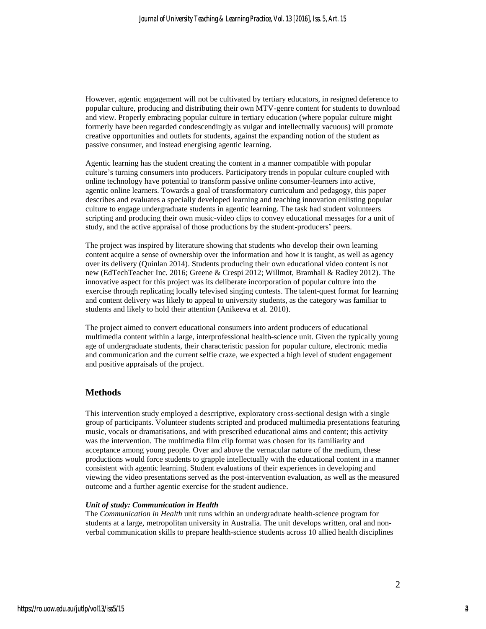However, agentic engagement will not be cultivated by tertiary educators, in resigned deference to popular culture, producing and distributing their own MTV-genre content for students to download and view. Properly embracing popular culture in tertiary education (where popular culture might formerly have been regarded condescendingly as vulgar and intellectually vacuous) will promote creative opportunities and outlets for students, against the expanding notion of the student as passive consumer, and instead energising agentic learning.

Agentic learning has the student creating the content in a manner compatible with popular culture's turning consumers into producers. Participatory trends in popular culture coupled with online technology have potential to transform passive online consumer-learners into active, agentic online learners. Towards a goal of transformatory curriculum and pedagogy, this paper describes and evaluates a specially developed learning and teaching innovation enlisting popular culture to engage undergraduate students in agentic learning. The task had student volunteers scripting and producing their own music-video clips to convey educational messages for a unit of study, and the active appraisal of those productions by the student-producers' peers.

The project was inspired by literature showing that students who develop their own learning content acquire a sense of ownership over the information and how it is taught, as well as agency over its delivery (Quinlan 2014). Students producing their own educational video content is not new (EdTechTeacher Inc. 2016; Greene & Crespi 2012; Willmot, Bramhall & Radley 2012). The innovative aspect for this project was its deliberate incorporation of popular culture into the exercise through replicating locally televised singing contests. The talent-quest format for learning and content delivery was likely to appeal to university students, as the category was familiar to students and likely to hold their attention (Anikeeva et al. 2010).

The project aimed to convert educational consumers into ardent producers of educational multimedia content within a large, interprofessional health-science unit. Given the typically young age of undergraduate students, their characteristic passion for popular culture, electronic media and communication and the current selfie craze, we expected a high level of student engagement and positive appraisals of the project.

## **Methods**

This intervention study employed a descriptive, exploratory cross-sectional design with a single group of participants. Volunteer students scripted and produced multimedia presentations featuring music, vocals or dramatisations, and with prescribed educational aims and content; this activity was the intervention. The multimedia film clip format was chosen for its familiarity and acceptance among young people. Over and above the vernacular nature of the medium, these productions would force students to grapple intellectually with the educational content in a manner consistent with agentic learning. Student evaluations of their experiences in developing and viewing the video presentations served as the post-intervention evaluation, as well as the measured outcome and a further agentic exercise for the student audience.

#### *Unit of study: Communication in Health*

The *Communication in Health* unit runs within an undergraduate health-science program for students at a large, metropolitan university in Australia. The unit develops written, oral and nonverbal communication skills to prepare health-science students across 10 allied health disciplines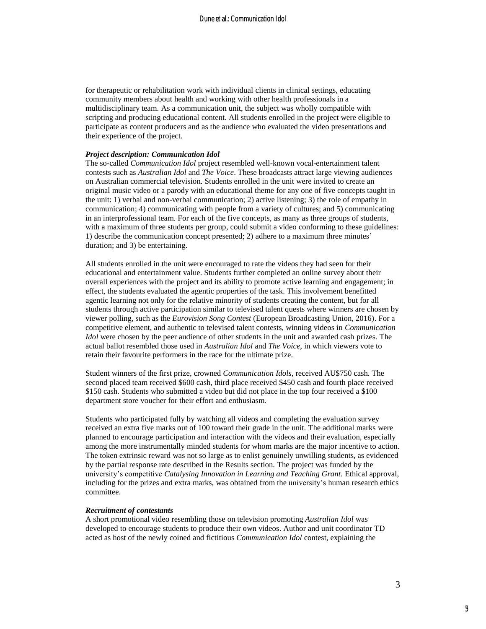for therapeutic or rehabilitation work with individual clients in clinical settings, educating community members about health and working with other health professionals in a multidisciplinary team. As a communication unit, the subject was wholly compatible with scripting and producing educational content. All students enrolled in the project were eligible to participate as content producers and as the audience who evaluated the video presentations and their experience of the project.

#### *Project description: Communication Idol*

The so-called *Communication Idol* project resembled well-known vocal-entertainment talent contests such as *Australian Idol* and *The Voice*. These broadcasts attract large viewing audiences on Australian commercial television. Students enrolled in the unit were invited to create an original music video or a parody with an educational theme for any one of five concepts taught in the unit: 1) verbal and non-verbal communication; 2) active listening; 3) the role of empathy in communication; 4) communicating with people from a variety of cultures; and 5) communicating in an interprofessional team. For each of the five concepts, as many as three groups of students, with a maximum of three students per group, could submit a video conforming to these guidelines: 1) describe the communication concept presented; 2) adhere to a maximum three minutes' duration; and 3) be entertaining.

All students enrolled in the unit were encouraged to rate the videos they had seen for their educational and entertainment value. Students further completed an online survey about their overall experiences with the project and its ability to promote active learning and engagement; in effect, the students evaluated the agentic properties of the task. This involvement benefitted agentic learning not only for the relative minority of students creating the content, but for all students through active participation similar to televised talent quests where winners are chosen by viewer polling, such as the *Eurovision Song Contest* (European Broadcasting Union, 2016). For a competitive element, and authentic to televised talent contests, winning videos in *Communication Idol* were chosen by the peer audience of other students in the unit and awarded cash prizes. The actual ballot resembled those used in *Australian Idol* and *The Voice*, in which viewers vote to retain their favourite performers in the race for the ultimate prize.

Student winners of the first prize, crowned *Communication Idols*, received AU\$750 cash. The second placed team received \$600 cash, third place received \$450 cash and fourth place received \$150 cash. Students who submitted a video but did not place in the top four received a \$100 department store voucher for their effort and enthusiasm.

Students who participated fully by watching all videos and completing the evaluation survey received an extra five marks out of 100 toward their grade in the unit. The additional marks were planned to encourage participation and interaction with the videos and their evaluation, especially among the more instrumentally minded students for whom marks are the major incentive to action. The token extrinsic reward was not so large as to enlist genuinely unwilling students, as evidenced by the partial response rate described in the Results section. The project was funded by the university's competitive *Catalysing Innovation in Learning and Teaching Grant.* Ethical approval, including for the prizes and extra marks, was obtained from the university's human research ethics committee.

#### *Recruitment of contestants*

A short promotional video resembling those on television promoting *Australian Idol* was developed to encourage students to produce their own videos. Author and unit coordinator TD acted as host of the newly coined and fictitious *Communication Idol* contest, explaining the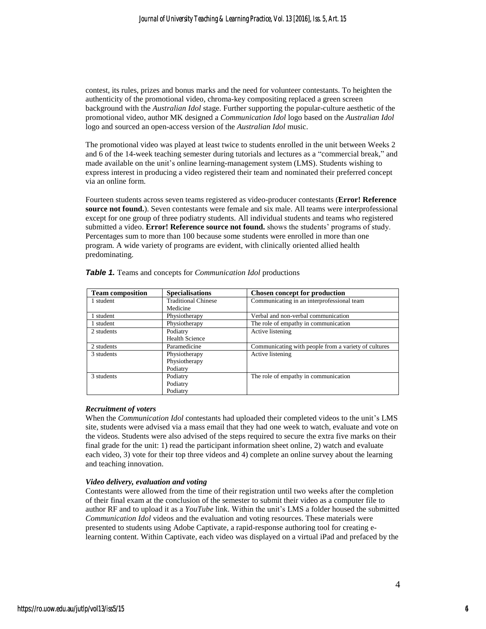contest, its rules, prizes and bonus marks and the need for volunteer contestants. To heighten the authenticity of the promotional video, chroma-key compositing replaced a green screen background with the *Australian Idol* stage. Further supporting the popular-culture aesthetic of the promotional video, author MK designed a *Communication Idol* logo based on the *Australian Idol* logo and sourced an open-access version of the *Australian Idol* music.

The promotional video was played at least twice to students enrolled in the unit between Weeks 2 and 6 of the 14-week teaching semester during tutorials and lectures as a "commercial break," and made available on the unit's online learning-management system (LMS). Students wishing to express interest in producing a video registered their team and nominated their preferred concept via an online form.

Fourteen students across seven teams registered as video-producer contestants (**Error! Reference source not found.**). Seven contestants were female and six male. All teams were interprofessional except for one group of three podiatry students. All individual students and teams who registered submitted a video. **Error! Reference source not found.** shows the students' programs of study. Percentages sum to more than 100 because some students were enrolled in more than one program. A wide variety of programs are evident, with clinically oriented allied health predominating.

| <b>Team composition</b> | <b>Specialisations</b>     | <b>Chosen concept for production</b>                 |
|-------------------------|----------------------------|------------------------------------------------------|
| 1 student               | <b>Traditional Chinese</b> | Communicating in an interprofessional team           |
|                         | Medicine                   |                                                      |
| 1 student               | Physiotherapy              | Verbal and non-verbal communication                  |
| 1 student               | Physiotherapy              | The role of empathy in communication                 |
| 2 students              | Podiatry                   | Active listening                                     |
|                         | <b>Health Science</b>      |                                                      |
| 2 students              | Paramedicine               | Communicating with people from a variety of cultures |
| 3 students              | Physiotherapy              | Active listening                                     |
|                         | Physiotherapy              |                                                      |
|                         | Podiatry                   |                                                      |
| 3 students              | Podiatry                   | The role of empathy in communication                 |
|                         | Podiatry                   |                                                      |
|                         | Podiatry                   |                                                      |

|  |  |  | Table 1. Teams and concepts for <i>Communication Idol</i> productions |  |
|--|--|--|-----------------------------------------------------------------------|--|
|--|--|--|-----------------------------------------------------------------------|--|

### *Recruitment of voters*

When the *Communication Idol* contestants had uploaded their completed videos to the unit's LMS site, students were advised via a mass email that they had one week to watch, evaluate and vote on the videos. Students were also advised of the steps required to secure the extra five marks on their final grade for the unit: 1) read the participant information sheet online, 2) watch and evaluate each video, 3) vote for their top three videos and 4) complete an online survey about the learning and teaching innovation.

### *Video delivery, evaluation and voting*

Contestants were allowed from the time of their registration until two weeks after the completion of their final exam at the conclusion of the semester to submit their video as a computer file to author RF and to upload it as a *YouTube* link. Within the unit's LMS a folder housed the submitted *Communication Idol* videos and the evaluation and voting resources. These materials were presented to students using Adobe Captivate, a rapid-response authoring tool for creating elearning content. Within Captivate, each video was displayed on a virtual iPad and prefaced by the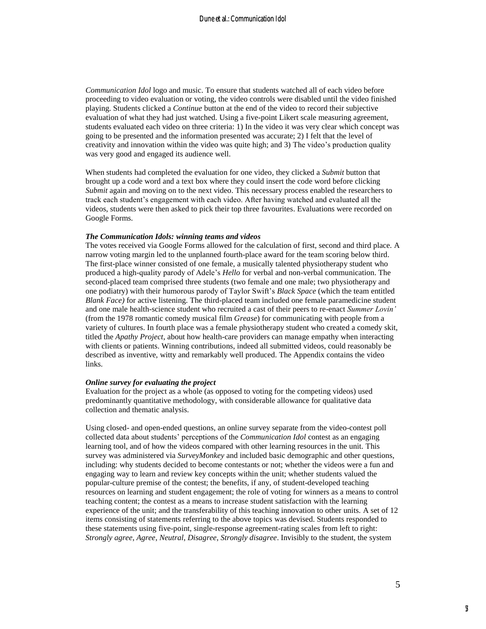*Communication Idol* logo and music. To ensure that students watched all of each video before proceeding to video evaluation or voting, the video controls were disabled until the video finished playing. Students clicked a *Continue* button at the end of the video to record their subjective evaluation of what they had just watched. Using a five-point Likert scale measuring agreement, students evaluated each video on three criteria: 1) In the video it was very clear which concept was going to be presented and the information presented was accurate; 2) I felt that the level of creativity and innovation within the video was quite high; and 3) The video's production quality was very good and engaged its audience well.

When students had completed the evaluation for one video, they clicked a *Submit* button that brought up a code word and a text box where they could insert the code word before clicking *Submit* again and moving on to the next video. This necessary process enabled the researchers to track each student's engagement with each video. After having watched and evaluated all the videos, students were then asked to pick their top three favourites. Evaluations were recorded on Google Forms.

#### *The Communication Idols: winning teams and videos*

The votes received via Google Forms allowed for the calculation of first, second and third place. A narrow voting margin led to the unplanned fourth-place award for the team scoring below third. The first-place winner consisted of one female, a musically talented physiotherapy student who produced a high-quality parody of Adele's *Hello* for verbal and non-verbal communication. The second-placed team comprised three students (two female and one male; two physiotherapy and one podiatry) with their humorous parody of Taylor Swift's *Black Space* (which the team entitled *Blank Face)* for active listening. The third-placed team included one female paramedicine student and one male health-science student who recruited a cast of their peers to re-enact *Summer Lovin'* (from the 1978 romantic comedy musical film *Grease*) for communicating with people from a variety of cultures. In fourth place was a female physiotherapy student who created a comedy skit, titled the *Apathy Project*, about how health-care providers can manage empathy when interacting with clients or patients. Winning contributions, indeed all submitted videos, could reasonably be described as inventive, witty and remarkably well produced. The Appendix contains the video links.

#### *Online survey for evaluating the project*

Evaluation for the project as a whole (as opposed to voting for the competing videos) used predominantly quantitative methodology, with considerable allowance for qualitative data collection and thematic analysis.

Using closed- and open-ended questions, an online survey separate from the video-contest poll collected data about students' perceptions of the *Communication Idol* contest as an engaging learning tool, and of how the videos compared with other learning resources in the unit. This survey was administered via *SurveyMonkey* and included basic demographic and other questions, including: why students decided to become contestants or not; whether the videos were a fun and engaging way to learn and review key concepts within the unit; whether students valued the popular-culture premise of the contest; the benefits, if any, of student-developed teaching resources on learning and student engagement; the role of voting for winners as a means to control teaching content; the contest as a means to increase student satisfaction with the learning experience of the unit; and the transferability of this teaching innovation to other units. A set of 12 items consisting of statements referring to the above topics was devised. Students responded to these statements using five-point, single-response agreement-rating scales from left to right: *Strongly agree*, *Agree*, *Neutral*, *Disagree*, *Strongly disagree*. Invisibly to the student, the system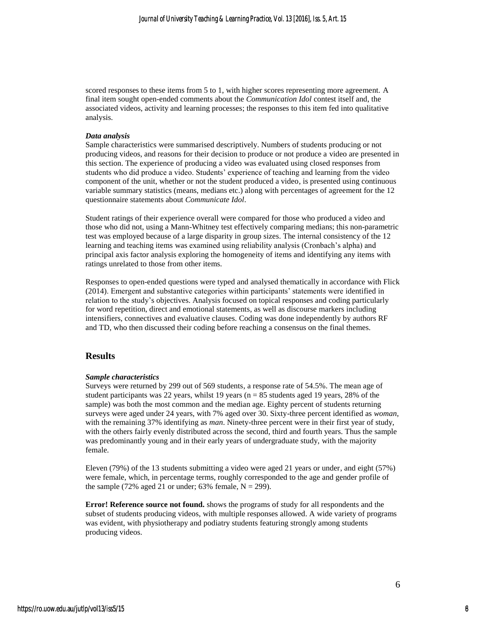scored responses to these items from 5 to 1, with higher scores representing more agreement. A final item sought open-ended comments about the *Communication Idol* contest itself and, the associated videos, activity and learning processes; the responses to this item fed into qualitative analysis.

#### *Data analysis*

Sample characteristics were summarised descriptively. Numbers of students producing or not producing videos, and reasons for their decision to produce or not produce a video are presented in this section. The experience of producing a video was evaluated using closed responses from students who did produce a video. Students' experience of teaching and learning from the video component of the unit, whether or not the student produced a video, is presented using continuous variable summary statistics (means, medians etc.) along with percentages of agreement for the 12 questionnaire statements about *Communicate Idol*.

Student ratings of their experience overall were compared for those who produced a video and those who did not, using a Mann-Whitney test effectively comparing medians; this non-parametric test was employed because of a large disparity in group sizes. The internal consistency of the 12 learning and teaching items was examined using reliability analysis (Cronbach's alpha) and principal axis factor analysis exploring the homogeneity of items and identifying any items with ratings unrelated to those from other items.

Responses to open-ended questions were typed and analysed thematically in accordance with Flick (2014). Emergent and substantive categories within participants' statements were identified in relation to the study's objectives. Analysis focused on topical responses and coding particularly for word repetition, direct and emotional statements, as well as discourse markers including intensifiers, connectives and evaluative clauses. Coding was done independently by authors RF and TD, who then discussed their coding before reaching a consensus on the final themes.

#### **Results**

#### *Sample characteristics*

Surveys were returned by 299 out of 569 students, a response rate of 54.5%. The mean age of student participants was 22 years, whilst 19 years ( $n = 85$  students aged 19 years, 28% of the sample) was both the most common and the median age. Eighty percent of students returning surveys were aged under 24 years, with 7% aged over 30. Sixty-three percent identified as *woman*, with the remaining 37% identifying as *man*. Ninety-three percent were in their first year of study, with the others fairly evenly distributed across the second, third and fourth years. Thus the sample was predominantly young and in their early years of undergraduate study, with the majority female.

Eleven (79%) of the 13 students submitting a video were aged 21 years or under, and eight (57%) were female, which, in percentage terms, roughly corresponded to the age and gender profile of the sample (72% aged 21 or under; 63% female,  $N = 299$ ).

**Error! Reference source not found.** shows the programs of study for all respondents and the subset of students producing videos, with multiple responses allowed. A wide variety of programs was evident, with physiotherapy and podiatry students featuring strongly among students producing videos.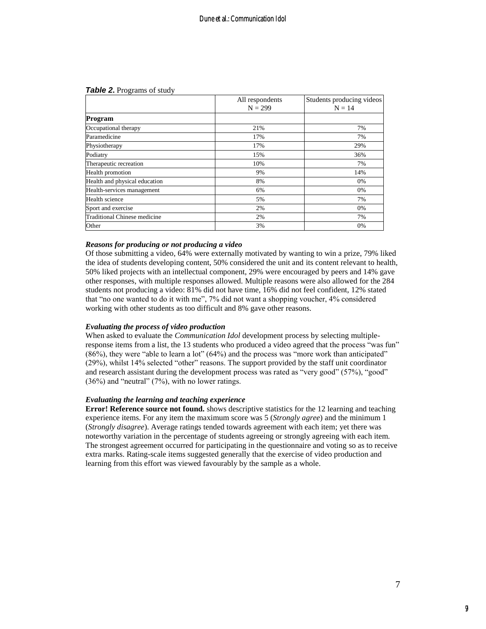#### **Table 2.** Programs of study

|                                     | All respondents | Students producing videos |
|-------------------------------------|-----------------|---------------------------|
|                                     | $N = 299$       | $N = 14$                  |
| Program                             |                 |                           |
| Occupational therapy                | 21%             | 7%                        |
| Paramedicine                        | 17%             | 7%                        |
| Physiotherapy                       | 17%             | 29%                       |
| Podiatry                            | 15%             | 36%                       |
| Therapeutic recreation              | 10%             | 7%                        |
| Health promotion                    | 9%              | 14%                       |
| Health and physical education       | 8%              | 0%                        |
| Health-services management          | 6%              | 0%                        |
| Health science                      | 5%              | 7%                        |
| Sport and exercise                  | 2%              | 0%                        |
| <b>Traditional Chinese medicine</b> | 2%              | 7%                        |
| Other                               | 3%              | 0%                        |

#### *Reasons for producing or not producing a video*

Of those submitting a video, 64% were externally motivated by wanting to win a prize, 79% liked the idea of students developing content, 50% considered the unit and its content relevant to health, 50% liked projects with an intellectual component, 29% were encouraged by peers and 14% gave other responses, with multiple responses allowed. Multiple reasons were also allowed for the 284 students not producing a video: 81% did not have time, 16% did not feel confident, 12% stated that "no one wanted to do it with me", 7% did not want a shopping voucher, 4% considered working with other students as too difficult and 8% gave other reasons.

#### *Evaluating the process of video production*

When asked to evaluate the *Communication Idol* development process by selecting multipleresponse items from a list, the 13 students who produced a video agreed that the process "was fun" (86%), they were "able to learn a lot" (64%) and the process was "more work than anticipated" (29%), whilst 14% selected "other" reasons. The support provided by the staff unit coordinator and research assistant during the development process was rated as "very good" (57%), "good" (36%) and "neutral" (7%), with no lower ratings.

#### *Evaluating the learning and teaching experience*

**Error! Reference source not found.** shows descriptive statistics for the 12 learning and teaching experience items. For any item the maximum score was 5 (*Strongly agree*) and the minimum 1 (*Strongly disagree*). Average ratings tended towards agreement with each item; yet there was noteworthy variation in the percentage of students agreeing or strongly agreeing with each item. The strongest agreement occurred for participating in the questionnaire and voting so as to receive extra marks. Rating-scale items suggested generally that the exercise of video production and learning from this effort was viewed favourably by the sample as a whole.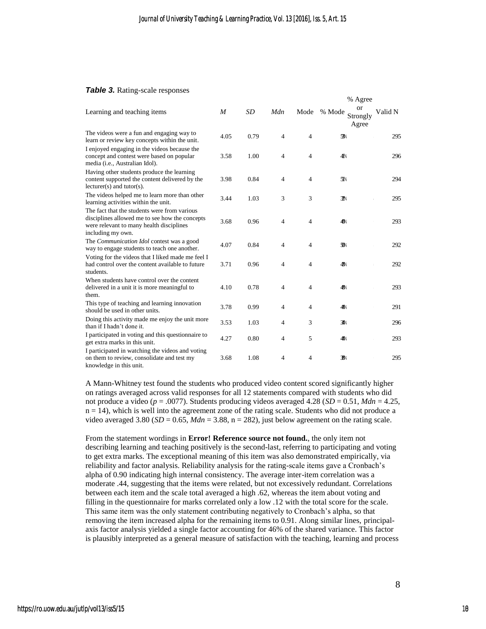#### *Table 3.* Rating-scale responses

|                                                                                                                                                                 |      |      |                |                | % Agree                           |         |
|-----------------------------------------------------------------------------------------------------------------------------------------------------------------|------|------|----------------|----------------|-----------------------------------|---------|
| Learning and teaching items                                                                                                                                     | M    | SD   | Mdn            | Mode           | or<br>% Mode<br>Strongly<br>Agree | Valid N |
| The videos were a fun and engaging way to<br>learn or review key concepts within the unit.                                                                      | 4.05 | 0.79 | $\overline{4}$ | 4              | $\mathfrak{R}$                    | 295     |
| I enjoyed engaging in the videos because the<br>concept and contest were based on popular<br>media (i.e., Australian Idol).                                     | 3.58 | 1.00 | $\overline{4}$ | 4              | 4 <sup>p</sup>                    | 296     |
| Having other students produce the learning<br>content supported the content delivered by the<br>$lecturer(s)$ and tutor(s).                                     | 3.98 | 0.84 | $\overline{4}$ | $\overline{4}$ | $\mathcal{R}$                     | 294     |
| The videos helped me to learn more than other<br>learning activities within the unit.                                                                           | 3.44 | 1.03 | 3              | 3              | $\mathcal{D}$                     | 295     |
| The fact that the students were from various<br>disciplines allowed me to see how the concepts<br>were relevant to many health disciplines<br>including my own. | 3.68 | 0.96 | $\overline{4}$ | 4              | 4%                                | 293     |
| The Communication Idol contest was a good<br>way to engage students to teach one another.                                                                       | 4.07 | 0.84 | $\overline{4}$ | 4              | $\mathfrak{B}$                    | 292     |
| Voting for the videos that I liked made me feel I<br>had control over the content available to future<br>students.                                              | 3.71 | 0.96 | $\overline{4}$ | $\overline{4}$ | 4%                                | 292     |
| When students have control over the content<br>delivered in a unit it is more meaningful to<br>them.                                                            | 4.10 | 0.78 | $\overline{4}$ | 4              | 4%                                | 293     |
| This type of teaching and learning innovation<br>should be used in other units.                                                                                 | 3.78 | 0.99 | 4              | 4              | 4%                                | 291     |
| Doing this activity made me enjoy the unit more<br>than if I hadn't done it.                                                                                    | 3.53 | 1.03 | 4              | 3              | 31%                               | 296     |
| I participated in voting and this questionnaire to<br>get extra marks in this unit.                                                                             | 4.27 | 0.80 | 4              | 5              | 4%                                | 293     |
| I participated in watching the videos and voting<br>on them to review, consolidate and test my<br>knowledge in this unit.                                       | 3.68 | 1.08 | 4              | 4              | $\mathcal{R}$                     | 295     |

A Mann-Whitney test found the students who produced video content scored significantly higher on ratings averaged across valid responses for all 12 statements compared with students who did not produce a video (*p* = .0077). Students producing videos averaged 4.28 (*SD* = 0.51, *Mdn* = 4.25,  $n = 14$ ), which is well into the agreement zone of the rating scale. Students who did not produce a video averaged 3.80 ( $SD = 0.65$ ,  $Mdn = 3.88$ , n = 282), just below agreement on the rating scale.

From the statement wordings in **Error! Reference source not found.**, the only item not describing learning and teaching positively is the second-last, referring to participating and voting to get extra marks. The exceptional meaning of this item was also demonstrated empirically, via reliability and factor analysis. Reliability analysis for the rating-scale items gave a Cronbach's alpha of 0.90 indicating high internal consistency. The average inter-item correlation was a moderate .44, suggesting that the items were related, but not excessively redundant. Correlations between each item and the scale total averaged a high .62, whereas the item about voting and filling in the questionnaire for marks correlated only a low .12 with the total score for the scale. This same item was the only statement contributing negatively to Cronbach's alpha, so that removing the item increased alpha for the remaining items to 0.91. Along similar lines, principalaxis factor analysis yielded a single factor accounting for 46% of the shared variance. This factor is plausibly interpreted as a general measure of satisfaction with the teaching, learning and process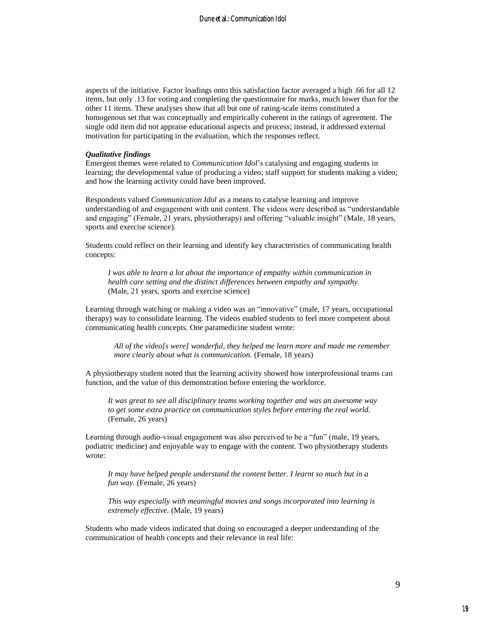aspects of the initiative. Factor loadings onto this satisfaction factor averaged a high .66 for all 12 items, but only .13 for voting and completing the questionnaire for marks, much lower than for the other 11 items. These analyses show that all but one of rating-scale items constituted a homogenous set that was conceptually and empirically coherent in the ratings of agreement. The single odd item did not appraise educational aspects and process; instead, it addressed external motivation for participating in the evaluation, which the responses reflect.

#### *Qualitative findings*

Emergent themes were related to *Communication Idol*'s catalysing and engaging students in learning; the developmental value of producing a video; staff support for students making a video; and how the learning activity could have been improved.

Respondents valued *Communication Idol* as a means to catalyse learning and improve understanding of and engagement with unit content. The videos were described as "understandable and engaging" (Female, 21 years, physiotherapy) and offering "valuable insight" (Male, 18 years, sports and exercise science).

Students could reflect on their learning and identify key characteristics of communicating health concepts:

*I was able to learn a lot about the importance of empathy within communication in health care setting and the distinct differences between empathy and sympathy.* (Male, 21 years, sports and exercise science)

Learning through watching or making a video was an "innovative" (male, 17 years, occupational therapy) way to consolidate learning. The videos enabled students to feel more competent about communicating health concepts. One paramedicine student wrote:

*All of the video[s were] wonderful, they helped me learn more and made me remember more clearly about what is communication.* (Female, 18 years)

A physiotherapy student noted that the learning activity showed how interprofessional teams can function, and the value of this demonstration before entering the workforce.

*It was great to see all disciplinary teams working together and was an awesome way to get some extra practice on communication styles before entering the real world.* (Female, 26 years)

Learning through audio-visual engagement was also perceived to be a "fun" (male, 19 years, podiatric medicine) and enjoyable way to engage with the content. Two physiotherapy students wrote:

*It may have helped people understand the content better. I learnt so much but in a fun way.* (Female, 26 years)

*This way especially with meaningful movies and songs incorporated into learning is extremely effective.* (Male, 19 years)

Students who made videos indicated that doing so encouraged a deeper understanding of the communication of health concepts and their relevance in real life: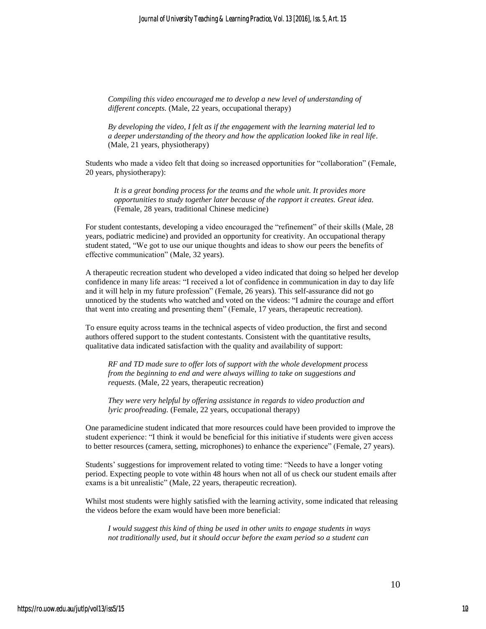*Compiling this video encouraged me to develop a new level of understanding of different concepts.* (Male, 22 years, occupational therapy)

*By developing the video, I felt as if the engagement with the learning material led to a deeper understanding of the theory and how the application looked like in real life.* (Male, 21 years, physiotherapy)

Students who made a video felt that doing so increased opportunities for "collaboration" (Female, 20 years, physiotherapy):

*It is a great bonding process for the teams and the whole unit. It provides more opportunities to study together later because of the rapport it creates. Great idea.* (Female, 28 years, traditional Chinese medicine)

For student contestants, developing a video encouraged the "refinement" of their skills (Male, 28 years, podiatric medicine) and provided an opportunity for creativity. An occupational therapy student stated, "We got to use our unique thoughts and ideas to show our peers the benefits of effective communication" (Male, 32 years).

A therapeutic recreation student who developed a video indicated that doing so helped her develop confidence in many life areas: "I received a lot of confidence in communication in day to day life and it will help in my future profession" (Female, 26 years). This self-assurance did not go unnoticed by the students who watched and voted on the videos: "I admire the courage and effort that went into creating and presenting them" (Female, 17 years, therapeutic recreation).

To ensure equity across teams in the technical aspects of video production, the first and second authors offered support to the student contestants. Consistent with the quantitative results, qualitative data indicated satisfaction with the quality and availability of support:

*RF and TD made sure to offer lots of support with the whole development process from the beginning to end and were always willing to take on suggestions and requests*. (Male, 22 years, therapeutic recreation)

*They were very helpful by offering assistance in regards to video production and lyric proofreading.* (Female, 22 years, occupational therapy)

One paramedicine student indicated that more resources could have been provided to improve the student experience: "I think it would be beneficial for this initiative if students were given access to better resources (camera, setting, microphones) to enhance the experience" (Female, 27 years).

Students' suggestions for improvement related to voting time: "Needs to have a longer voting period. Expecting people to vote within 48 hours when not all of us check our student emails after exams is a bit unrealistic" (Male, 22 years, therapeutic recreation).

Whilst most students were highly satisfied with the learning activity, some indicated that releasing the videos before the exam would have been more beneficial:

*I would suggest this kind of thing be used in other units to engage students in ways not traditionally used, but it should occur before the exam period so a student can* 

10

10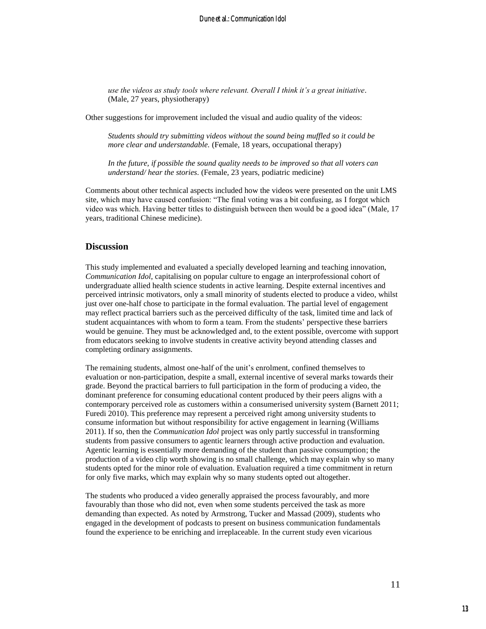*use the videos as study tools where relevant. Overall I think it's a great initiative.* (Male, 27 years, physiotherapy)

Other suggestions for improvement included the visual and audio quality of the videos:

*Students should try submitting videos without the sound being muffled so it could be more clear and understandable.* (Female, 18 years, occupational therapy)

*In the future, if possible the sound quality needs to be improved so that all voters can understand/ hear the stories.* (Female, 23 years, podiatric medicine)

Comments about other technical aspects included how the videos were presented on the unit LMS site, which may have caused confusion: "The final voting was a bit confusing, as I forgot which video was which. Having better titles to distinguish between then would be a good idea" (Male, 17 years, traditional Chinese medicine).

## **Discussion**

This study implemented and evaluated a specially developed learning and teaching innovation, *Communication Idol*, capitalising on popular culture to engage an interprofessional cohort of undergraduate allied health science students in active learning. Despite external incentives and perceived intrinsic motivators, only a small minority of students elected to produce a video, whilst just over one-half chose to participate in the formal evaluation. The partial level of engagement may reflect practical barriers such as the perceived difficulty of the task, limited time and lack of student acquaintances with whom to form a team. From the students' perspective these barriers would be genuine. They must be acknowledged and, to the extent possible, overcome with support from educators seeking to involve students in creative activity beyond attending classes and completing ordinary assignments.

The remaining students, almost one-half of the unit's enrolment, confined themselves to evaluation or non-participation, despite a small, external incentive of several marks towards their grade. Beyond the practical barriers to full participation in the form of producing a video, the dominant preference for consuming educational content produced by their peers aligns with a contemporary perceived role as customers within a consumerised university system (Barnett 2011; Furedi 2010). This preference may represent a perceived right among university students to consume information but without responsibility for active engagement in learning (Williams 2011). If so, then the *Communication Idol* project was only partly successful in transforming students from passive consumers to agentic learners through active production and evaluation. Agentic learning is essentially more demanding of the student than passive consumption; the production of a video clip worth showing is no small challenge, which may explain why so many students opted for the minor role of evaluation. Evaluation required a time commitment in return for only five marks, which may explain why so many students opted out altogether.

The students who produced a video generally appraised the process favourably, and more favourably than those who did not, even when some students perceived the task as more demanding than expected. As noted by Armstrong, Tucker and Massad (2009), students who engaged in the development of podcasts to present on business communication fundamentals found the experience to be enriching and irreplaceable. In the current study even vicarious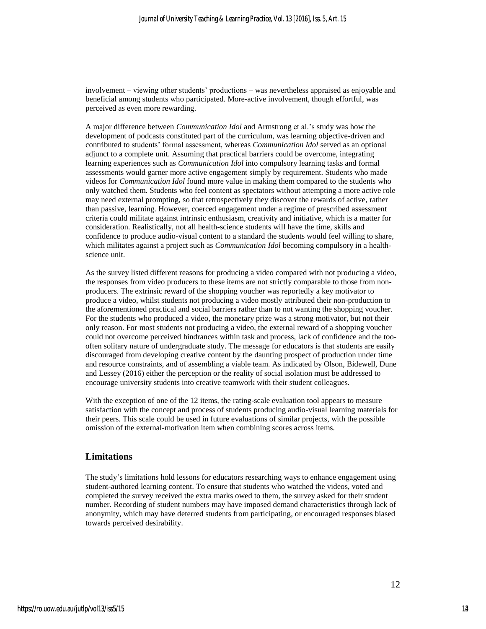involvement – viewing other students' productions – was nevertheless appraised as enjoyable and beneficial among students who participated. More-active involvement, though effortful, was perceived as even more rewarding.

A major difference between *Communication Idol* and Armstrong et al.'s study was how the development of podcasts constituted part of the curriculum, was learning objective-driven and contributed to students' formal assessment, whereas *Communication Idol* served as an optional adjunct to a complete unit. Assuming that practical barriers could be overcome, integrating learning experiences such as *Communication Idol* into compulsory learning tasks and formal assessments would garner more active engagement simply by requirement. Students who made videos for *Communication Idol* found more value in making them compared to the students who only watched them. Students who feel content as spectators without attempting a more active role may need external prompting, so that retrospectively they discover the rewards of active, rather than passive, learning. However, coerced engagement under a regime of prescribed assessment criteria could militate against intrinsic enthusiasm, creativity and initiative, which is a matter for consideration. Realistically, not all health-science students will have the time, skills and confidence to produce audio-visual content to a standard the students would feel willing to share, which militates against a project such as *Communication Idol* becoming compulsory in a healthscience unit.

As the survey listed different reasons for producing a video compared with not producing a video, the responses from video producers to these items are not strictly comparable to those from nonproducers. The extrinsic reward of the shopping voucher was reportedly a key motivator to produce a video, whilst students not producing a video mostly attributed their non-production to the aforementioned practical and social barriers rather than to not wanting the shopping voucher. For the students who produced a video, the monetary prize was a strong motivator, but not their only reason. For most students not producing a video, the external reward of a shopping voucher could not overcome perceived hindrances within task and process, lack of confidence and the toooften solitary nature of undergraduate study. The message for educators is that students are easily discouraged from developing creative content by the daunting prospect of production under time and resource constraints, and of assembling a viable team. As indicated by Olson, Bidewell, Dune and Lessey (2016) either the perception or the reality of social isolation must be addressed to encourage university students into creative teamwork with their student colleagues.

With the exception of one of the 12 items, the rating-scale evaluation tool appears to measure satisfaction with the concept and process of students producing audio-visual learning materials for their peers. This scale could be used in future evaluations of similar projects, with the possible omission of the external-motivation item when combining scores across items.

## **Limitations**

The study's limitations hold lessons for educators researching ways to enhance engagement using student-authored learning content. To ensure that students who watched the videos, voted and completed the survey received the extra marks owed to them, the survey asked for their student number. Recording of student numbers may have imposed demand characteristics through lack of anonymity, which may have deterred students from participating, or encouraged responses biased towards perceived desirability.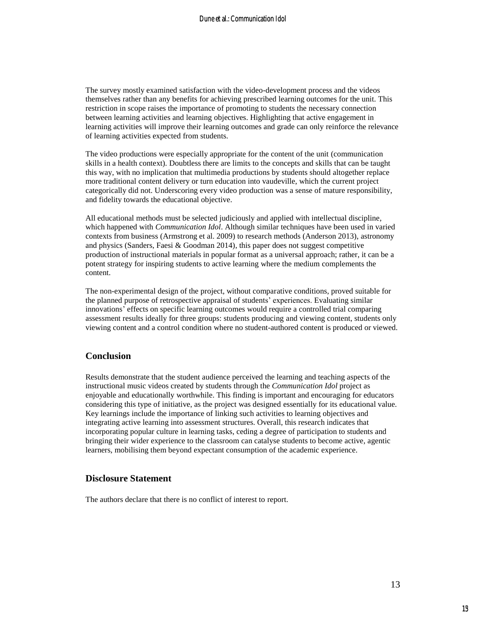The survey mostly examined satisfaction with the video-development process and the videos themselves rather than any benefits for achieving prescribed learning outcomes for the unit. This restriction in scope raises the importance of promoting to students the necessary connection between learning activities and learning objectives. Highlighting that active engagement in learning activities will improve their learning outcomes and grade can only reinforce the relevance of learning activities expected from students.

The video productions were especially appropriate for the content of the unit (communication skills in a health context). Doubtless there are limits to the concepts and skills that can be taught this way, with no implication that multimedia productions by students should altogether replace more traditional content delivery or turn education into vaudeville, which the current project categorically did not. Underscoring every video production was a sense of mature responsibility, and fidelity towards the educational objective.

All educational methods must be selected judiciously and applied with intellectual discipline, which happened with *Communication Idol*. Although similar techniques have been used in varied contexts from business (Armstrong et al. 2009) to research methods (Anderson 2013), astronomy and physics (Sanders, Faesi & Goodman 2014), this paper does not suggest competitive production of instructional materials in popular format as a universal approach; rather, it can be a potent strategy for inspiring students to active learning where the medium complements the content.

The non-experimental design of the project, without comparative conditions, proved suitable for the planned purpose of retrospective appraisal of students' experiences. Evaluating similar innovations' effects on specific learning outcomes would require a controlled trial comparing assessment results ideally for three groups: students producing and viewing content, students only viewing content and a control condition where no student-authored content is produced or viewed.

## **Conclusion**

Results demonstrate that the student audience perceived the learning and teaching aspects of the instructional music videos created by students through the *Communication Idol* project as enjoyable and educationally worthwhile. This finding is important and encouraging for educators considering this type of initiative, as the project was designed essentially for its educational value. Key learnings include the importance of linking such activities to learning objectives and integrating active learning into assessment structures. Overall, this research indicates that incorporating popular culture in learning tasks, ceding a degree of participation to students and bringing their wider experience to the classroom can catalyse students to become active, agentic learners, mobilising them beyond expectant consumption of the academic experience.

### **Disclosure Statement**

The authors declare that there is no conflict of interest to report.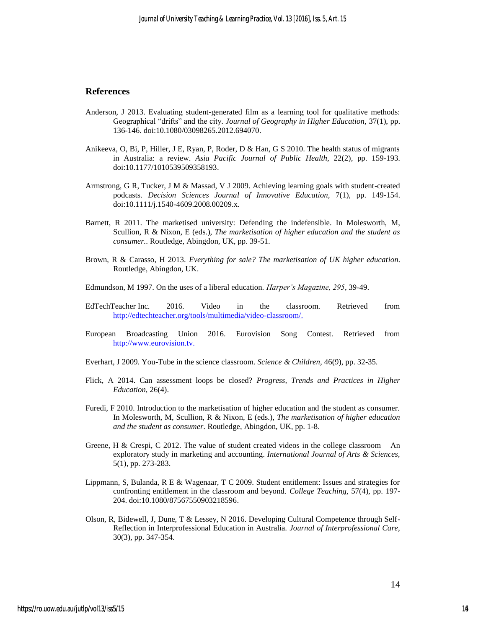## **References**

- Anderson, J 2013. Evaluating student-generated film as a learning tool for qualitative methods: Geographical "drifts" and the city. *Journal of Geography in Higher Education,* 37(1), pp. 136-146. doi:10.1080/03098265.2012.694070.
- Anikeeva, O, Bi, P, Hiller, J E, Ryan, P, Roder, D & Han, G S 2010. The health status of migrants in Australia: a review. *Asia Pacific Journal of Public Health,* 22(2), pp. 159-193. doi:10.1177/1010539509358193.
- Armstrong, G R, Tucker, J M & Massad, V J 2009. Achieving learning goals with student-created podcasts. *Decision Sciences Journal of Innovative Education,* 7(1), pp. 149-154. doi:10.1111/j.1540-4609.2008.00209.x.
- Barnett, R 2011. The marketised university: Defending the indefensible. In Molesworth, M, Scullion, R & Nixon, E (eds.), *The marketisation of higher education and the student as consumer.*. Routledge, Abingdon, UK, pp. 39-51.
- Brown, R & Carasso, H 2013. *Everything for sale? The marketisation of UK higher education*. Routledge, Abingdon, UK.
- Edmundson, M 1997. On the uses of a liberal education. *Harper's Magazine, 295*, 39-49.
- EdTechTeacher Inc. 2016. Video in the classroom. Retrieved from [http://edtechteacher.org/tools/multimedia/video-classroom/.](http://edtechteacher.org/tools/multimedia/video-classroom/)
- European Broadcasting Union 2016. Eurovision Song Contest. Retrieved from [http://www.eurovision.tv.](http://www.eurovision.tv/)
- Everhart, J 2009. You-Tube in the science classroom. *Science & Children,* 46(9), pp. 32-35.
- Flick, A 2014. Can assessment loops be closed? *Progress, Trends and Practices in Higher Education,* 26(4).
- Furedi, F 2010. Introduction to the marketisation of higher education and the student as consumer. In Molesworth, M, Scullion, R & Nixon, E (eds.), *The marketisation of higher education and the student as consumer.* Routledge, Abingdon, UK, pp. 1-8.
- Greene, H & Crespi, C 2012. The value of student created videos in the college classroom An exploratory study in marketing and accounting. *International Journal of Arts & Sciences,*  5(1), pp. 273-283.
- Lippmann, S, Bulanda, R E & Wagenaar, T C 2009. Student entitlement: Issues and strategies for confronting entitlement in the classroom and beyond. *College Teaching,* 57(4), pp. 197- 204. doi:10.1080/87567550903218596.
- Olson, R, Bidewell, J, Dune, T & Lessey, N 2016. Developing Cultural Competence through Self-Reflection in Interprofessional Education in Australia. *Journal of Interprofessional Care,*  30(3), pp. 347-354.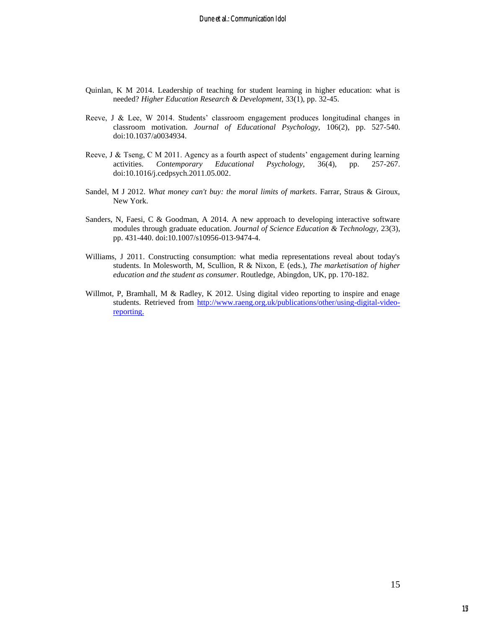- Quinlan, K M 2014. Leadership of teaching for student learning in higher education: what is needed? *Higher Education Research & Development,* 33(1), pp. 32-45.
- Reeve, J & Lee, W 2014. Students' classroom engagement produces longitudinal changes in classroom motivation. *Journal of Educational Psychology,* 106(2), pp. 527-540. doi:10.1037/a0034934.
- Reeve, J & Tseng, C M 2011. Agency as a fourth aspect of students' engagement during learning activities. *Contemporary Educational Psychology,* 36(4), pp. 257-267. doi:10.1016/j.cedpsych.2011.05.002.
- Sandel, M J 2012. *What money can't buy: the moral limits of markets*. Farrar, Straus & Giroux, New York.
- Sanders, N, Faesi, C & Goodman, A 2014. A new approach to developing interactive software modules through graduate education. *Journal of Science Education & Technology,* 23(3), pp. 431-440. doi:10.1007/s10956-013-9474-4.
- Williams, J 2011. Constructing consumption: what media representations reveal about today's students. In Molesworth, M, Scullion, R & Nixon, E (eds.), *The marketisation of higher education and the student as consumer.* Routledge, Abingdon, UK, pp. 170-182.
- Willmot, P, Bramhall, M & Radley, K 2012. Using digital video reporting to inspire and enage students. Retrieved from [http://www.raeng.org.uk/publications/other/using-digital-video](http://www.raeng.org.uk/publications/other/using-digital-video-reporting)[reporting.](http://www.raeng.org.uk/publications/other/using-digital-video-reporting)